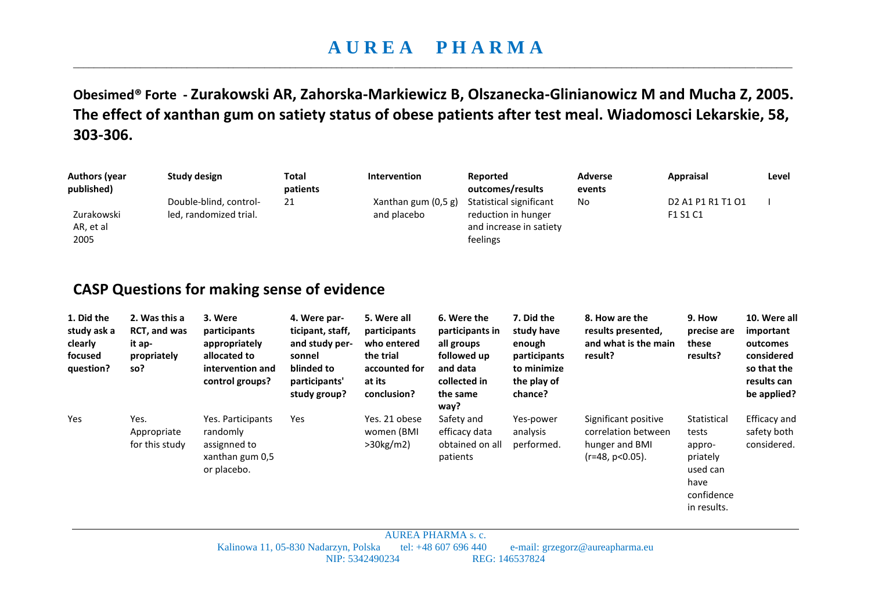## **A U R E A P H A R M A**  \_\_\_\_\_\_\_\_\_\_\_\_\_\_\_\_\_\_\_\_\_\_\_\_\_\_\_\_\_\_\_\_\_\_\_\_\_\_\_\_\_\_\_\_\_\_\_\_\_\_\_\_\_\_\_\_\_\_\_\_\_\_\_\_\_\_\_\_\_\_\_\_\_\_\_\_\_\_\_\_\_\_\_\_\_\_\_\_\_\_\_\_\_\_\_\_\_\_\_\_\_\_\_\_\_\_\_\_\_\_\_\_\_\_\_\_\_\_\_\_\_\_\_\_\_\_\_\_\_\_\_\_\_\_\_\_\_\_\_

**Obesimed® Forte - Zurakowski AR, Zahorska-Markiewicz B, Olszanecka-Glinianowicz M and Mucha Z, 2005. The effect of xanthan gum on satiety status of obese patients after test meal. Wiadomosci Lekarskie, 58, 303-306.** 

| <b>Authors (year</b><br>published)<br>Zurakowski<br>AR, et al<br>2005 |                                                                      | <b>Study design</b><br>Double-blind, control-<br>led, randomized trial.                                                                               | <b>Total</b><br>patients<br>21                                                                              | Intervention<br>Xanthan gum (0,5 g)<br>and placebo                                                | feelings                                                                                            | <b>Reported</b><br>outcomes/results<br>Statistical significant<br>reduction in hunger<br>and increase in satiety | <b>Adverse</b><br>events<br><b>No</b>                                               | <b>Appraisal</b><br>D <sub>2</sub> A <sub>1</sub> P <sub>1</sub> R <sub>1</sub> T <sub>1</sub> O <sub>1</sub><br>F1 S1 C1 | Level                                                                                            |
|-----------------------------------------------------------------------|----------------------------------------------------------------------|-------------------------------------------------------------------------------------------------------------------------------------------------------|-------------------------------------------------------------------------------------------------------------|---------------------------------------------------------------------------------------------------|-----------------------------------------------------------------------------------------------------|------------------------------------------------------------------------------------------------------------------|-------------------------------------------------------------------------------------|---------------------------------------------------------------------------------------------------------------------------|--------------------------------------------------------------------------------------------------|
| 1. Did the<br>study ask a<br>clearly<br>focused<br>question?          | 2. Was this a<br><b>RCT, and was</b><br>it ap-<br>propriately<br>so? | <b>CASP Questions for making sense of evidence</b><br>3. Were<br>participants<br>appropriately<br>allocated to<br>intervention and<br>control groups? | 4. Were par-<br>ticipant, staff,<br>and study per-<br>sonnel<br>blinded to<br>participants'<br>study group? | 5. Were all<br>participants<br>who entered<br>the trial<br>accounted for<br>at its<br>conclusion? | 6. Were the<br>participants in<br>all groups<br>followed up<br>and data<br>collected in<br>the same | 7. Did the<br>study have<br>enough<br>participants<br>to minimize<br>the play of<br>chance?                      | 8. How are the<br>results presented,<br>and what is the main<br>result?             | 9. How<br>precise are<br>these<br>results?                                                                                | 10. Were all<br>important<br>outcomes<br>considered<br>so that the<br>results can<br>be applied? |
| Yes                                                                   | Yes.<br>Appropriate<br>for this study                                | Yes. Participants<br>randomly<br>assignned to<br>xanthan gum 0,5<br>or placebo.                                                                       | Yes                                                                                                         | Yes. 21 obese<br>women (BMI<br>>30 kg/m2                                                          | way?<br>Safety and<br>efficacy data<br>obtained on all<br>patients                                  | Yes-power<br>analysis<br>performed.                                                                              | Significant positive<br>correlation between<br>hunger and BMI<br>$(r=48, p<0.05)$ . | Statistical<br>tests<br>appro-<br>priately<br>used can<br>have<br>confidence<br>in results.                               | Efficacy and<br>safety both<br>considered.                                                       |